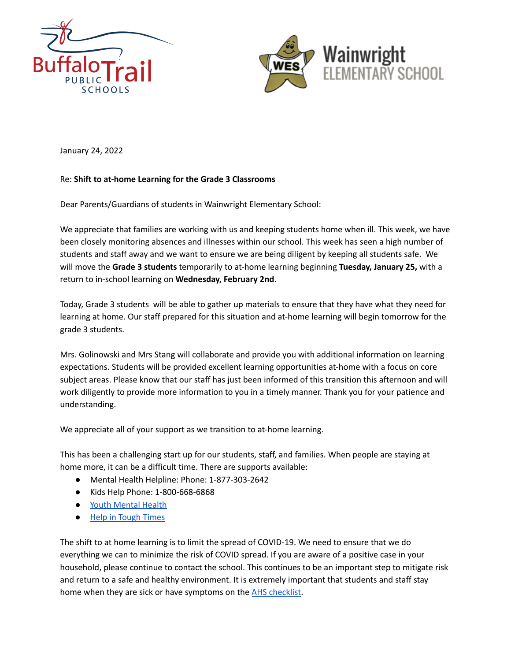



January 24, 2022

## Re: **Shift to at-home Learning for the Grade 3 Classrooms**

Dear Parents/Guardians of students in Wainwright Elementary School:

We appreciate that families are working with us and keeping students home when ill. This week, we have been closely monitoring absences and illnesses within our school. This week has seen a high number of students and staff away and we want to ensure we are being diligent by keeping all students safe. We will move the **Grade 3 students** temporarily to at-home learning beginning **Tuesday, January 25,** with a return to in-school learning on **Wednesday, February 2nd**.

Today, Grade 3 students will be able to gather up materials to ensure that they have what they need for learning at home. Our staff prepared for this situation and at-home learning will begin tomorrow for the grade 3 students.

Mrs. Golinowski and Mrs Stang will collaborate and provide you with additional information on learning expectations. Students will be provided excellent learning opportunities at-home with a focus on core subject areas. Please know that our staff has just been informed of this transition this afternoon and will work diligently to provide more information to you in a timely manner. Thank you for your patience and understanding.

We appreciate all of your support as we transition to at-home learning.

This has been a challenging start up for our students, staff, and families. When people are staying at home more, it can be a difficult time. There are supports available:

- Mental Health Helpline: Phone: 1-877-303-2642
- Kids Help Phone: 1-800-668-6868
- Youth [Mental](https://jack.org/resources/covidAB?fbclid=IwAR1knofuR-7p5JVl8CjRWrd-2F2wyfTNml1edToxA04VihkIcilmoUrbfDc) Health
- Help in [Tough](https://www.albertahealthservices.ca/amh/Page16759.aspx) Times

The shift to at home learning is to limit the spread of COVID-19. We need to ensure that we do everything we can to minimize the risk of COVID spread. If you are aware of a positive case in your household, please continue to contact the school. This continues to be an important step to mitigate risk and return to a safe and healthy environment. It is extremely important that students and staff stay home when they are sick or have symptoms on the AHS [checklist.](https://open.alberta.ca/dataset/56c020ed-1782-4c6c-bfdd-5af36754471f/resource/58957831-a4ab-45ff-9a8e-3c6af7c1622e/download/covid-19-information-alberta-health-daily-checklist-2021-09.pdf?fbclid=IwAR0a2CebxIStKlgHwWiR9YC0dqGm8pkBafTeDi6OMTutf3yMMY9szQ028IM)